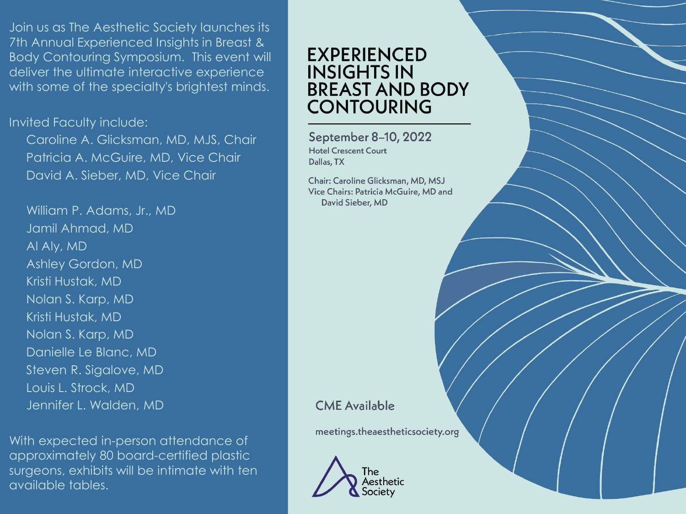Join us as The Aesthetic Society launches its 7th Annual Experienced Insights in Breast & Body Contouring Symposium. This event will deliver the ultimate interactive experience with some of the specialty's brightest minds.

Invited Faculty include:

Caroline A. Glicksman, MD, MJS, Chair Patricia A. McGuire, MD, Vice Chair David A. Sieber, MD, Vice Chair

William P. Adams, Jr., MD Jamil Ahmad, MD Al Aly, MD Ashley Gordon, MD Kristi Hustak, MD Nolan S. Karp, MD Kristi Hustak, MD Nolan S. Karp, MD Danielle Le Blanc, MD Steven R. Sigalove, MD Louis L. Strock, MD Jennifer L. Walden, MD

With expected in-person attendance of approximately 80 board-certified plastic surgeons, exhibits will be intimate with ten available tables.

# **EXPERIENCED INSIGHTS IN BREAST AND BODY CONTOURING**

September 8-10, 2022 **Hotel Crescent Court** Dallas, TX

Chair: Caroline Glicksman, MD, MSJ Vice Chairs: Patricia McGuire, MD and David Sieber, MD

**CME** Available

meetings.theaestheticsociety.org

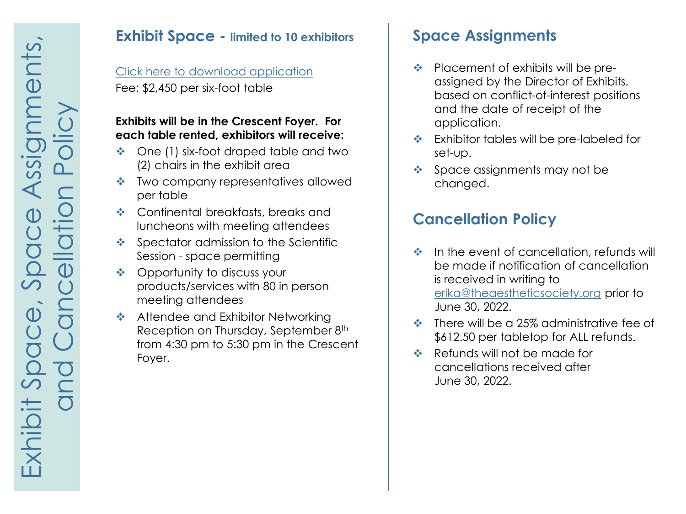#### **Exhibit Space - limited to 10 exhibitors**

# [Click here to download application](https://meetings.theaestheticsociety.org/breast-and-body/downloads/Application-Breast-and-Body-Contouring-Symposium-2022.pdf)

Fee: \$2,450 per six-foot table

#### **Exhibits will be in the Crescent Foyer. For each table rented, exhibitors will receive:**

- ◆ One (1) six-foot draped table and two (2) chairs in the exhibit area
- ❖ Two company representatives allowed per table
- ◆ Continental breakfasts, breaks and luncheons with meeting attendees
- $\triangleq$  Spectator admission to the Scientific Session - space permitting
- ❖ Opportunity to discuss your products/services with 80 in person meeting attendees
- **❖** Attendee and Exhibitor Networking Reception on Thursday, September 8<sup>th</sup> from 4:30 pm to 5:30 pm in the Crescent Foyer.

# **Space Assignments**

- $\triangleq$  Placement of exhibits will be preassigned by the Director of Exhibits, based on conflict-of-interest positions and the date of receipt of the application.
- \* Exhibitor tables will be pre-labeled for set-up.
- $\triangleq$  Space assignments may not be changed.

# **Cancellation Policy**

- $\triangleq$  In the event of cancellation, refunds will be made if notification of cancellation is received in writing to [erika@theaestheticsociety.org](mailto:erika@theaestheticsociety.org) prior to June 30, 2022.
- $\div$  There will be a 25% administrative fee of \$612.50 per tabletop for ALL refunds.
- Refunds will not be made for cancellations received after June 30, 2022.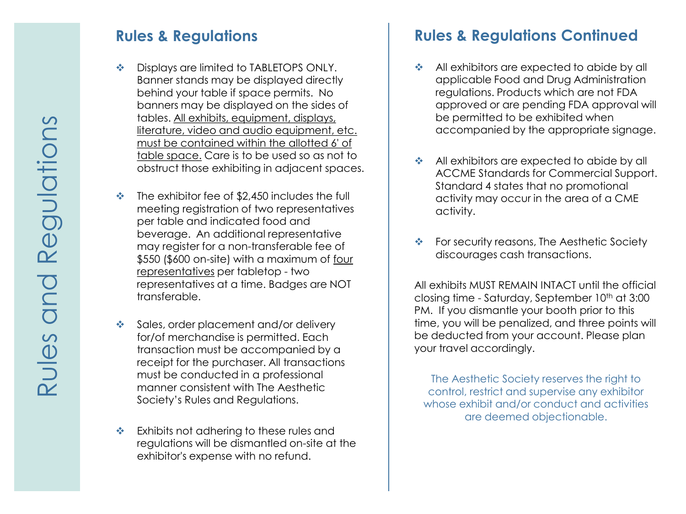### **Rules & Regulations**

- Displays are limited to TABLETOPS ONLY. Banner stands may be displayed directly behind your table if space permits. No banners may be displayed on the sides of tables. All exhibits, equipment, displays, literature, video and audio equipment, etc. must be contained within the allotted 6' of table space. Care is to be used so as not to obstruct those exhibiting in adjacent spaces.
- $\cdot$  The exhibitor fee of \$2,450 includes the full meeting registration of two representatives per table and indicated food and beverage. An additional representative may register for a non-transferable fee of \$550 (\$600 on-site) with a maximum of four representatives per tabletop - two representatives at a time. Badges are NOT transferable.
- Sales, order placement and/or delivery for/of merchandise is permitted. Each transaction must be accompanied by a receipt for the purchaser. All transactions must be conducted in a professional manner consistent with The Aesthetic Society's Rules and Regulations.
- \* Exhibits not adhering to these rules and regulations will be dismantled on-site at the exhibitor's expense with no refund.

# **Rules & Regulations Continued**

- All exhibitors are expected to abide by all applicable Food and Drug Administration regulations. Products which are not FDA approved or are pending FDA approval will be permitted to be exhibited when accompanied by the appropriate signage.
- All exhibitors are expected to abide by all ACCME Standards for Commercial Support. Standard 4 states that no promotional activity may occur in the area of a CME activity.
- ❖ For security reasons, The Aesthetic Society discourages cash transactions.

All exhibits MUST REMAIN INTACT until the official closing time - Saturday, September 10<sup>th</sup> at 3:00 PM. If you dismantle your booth prior to this time, you will be penalized, and three points will be deducted from your account. Please plan your travel accordingly.

The Aesthetic Society reserves the right to control, restrict and supervise any exhibitor whose exhibit and/or conduct and activities are deemed objectionable.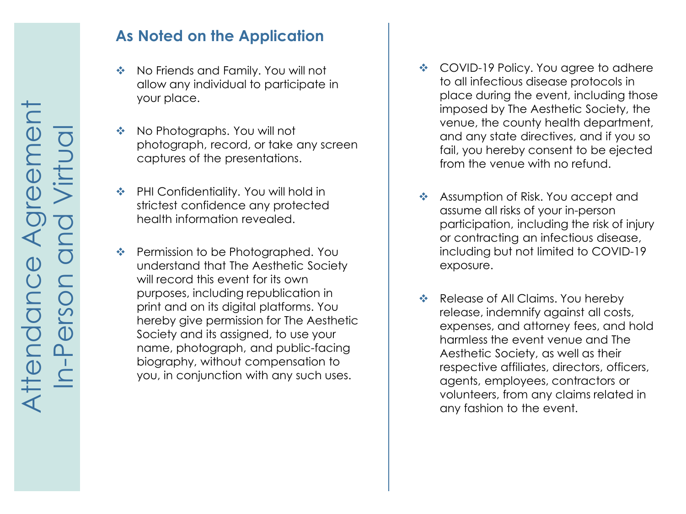### **As Noted on the Application**

- ◆ No Friends and Family. You will not allow any individual to participate in your place.
- ◆ No Photographs. You will not photograph, record, or take any screen captures of the presentations.
- ◆ PHI Confidentiality. You will hold in strictest confidence any protected health information revealed.
- ❖ Permission to be Photographed. You understand that The Aesthetic Society will record this event for its own purposes, including republication in print and on its digital platforms. You hereby give permission for The Aesthetic Society and its assigned, to use your name, photograph, and public-facing biography, without compensation to you, in conjunction with any such uses.
- ❖ COVID-19 Policy. You agree to adhere to all infectious disease protocols in place during the event, including those imposed by The Aesthetic Society, the venue, the county health department, and any state directives, and if you so fail, you hereby consent to be ejected from the venue with no refund.
- Assumption of Risk. You accept and assume all risks of your in-person participation, including the risk of injury or contracting an infectious disease, including but not limited to COVID-19 exposure.
- Release of All Claims. You hereby release, indemnify against all costs, expenses, and attorney fees, and hold harmless the event venue and The Aesthetic Society, as well as their respective affiliates, directors, officers, agents, employees, contractors or volunteers, from any claims related in any fashion to the event.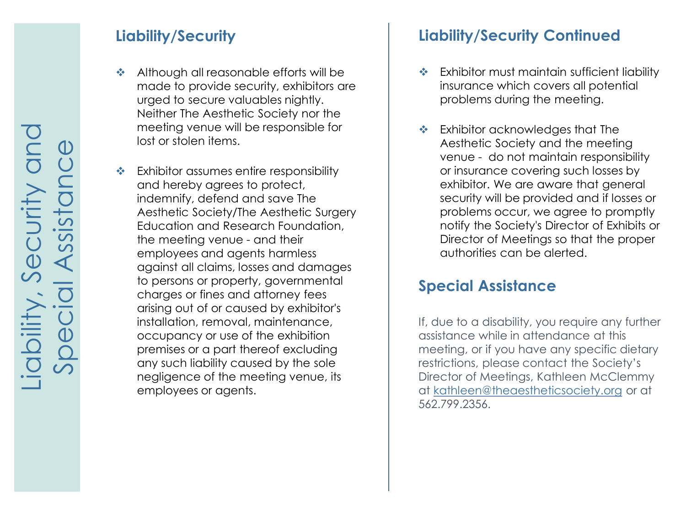# **Liability/Security**

- Although all reasonable efforts will be made to provide security, exhibitors are urged to secure valuables nightly. Neither The Aesthetic Society nor the meeting venue will be responsible for lost or stolen items.
- Exhibitor assumes entire responsibility and hereby agrees to protect, indemnify, defend and save The Aesthetic Society/The Aesthetic Surgery Education and Research Foundation, the meeting venue - and their employees and agents harmless against all claims, losses and damages to persons or property, governmental charges or fines and attorney fees arising out of or caused by exhibitor's installation, removal, maintenance, occupancy or use of the exhibition premises or a part thereof excluding any such liability caused by the sole negligence of the meeting venue, its employees or agents.

# **Liability/Security Continued**

- Exhibitor must maintain sufficient liability insurance which covers all potential problems during the meeting.
- Exhibitor acknowledges that The Aesthetic Society and the meeting venue - do not maintain responsibility or insurance covering such losses by exhibitor. We are aware that general security will be provided and if losses or problems occur, we agree to promptly notify the Society's Director of Exhibits or Director of Meetings so that the proper authorities can be alerted.

### **Special Assistance**

If, due to a disability, you require any further assistance while in attendance at this meeting, or if you have any specific dietary restrictions, please contact the Society's Director of Meetings, Kathleen McClemmy at [kathleen@theaestheticsociety.org](mailto:kathleen@surgery.org) or at 562.799.2356.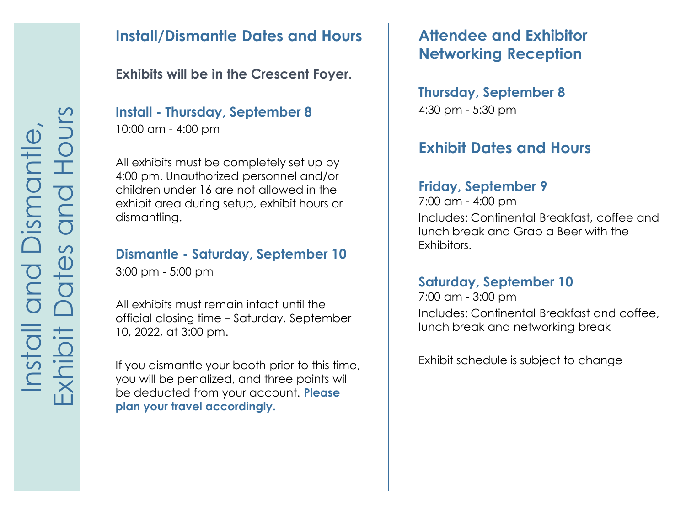### **Install/Dismantle Dates and Hours**

### **Exhibits will be in the Crescent Foyer.**

### **Install - Thursday, September 8** 10:00 am - 4:00 pm

All exhibits must be completely set up by 4:00 pm. Unauthorized personnel and/or children under 16 are not allowed in the exhibit area during setup, exhibit hours or dismantling.

#### **Dismantle - Saturday, September 10**

3:00 pm - 5:00 pm

All exhibits must remain intact until the official closing time – Saturday, September 10, 2022, at 3:00 pm.

If you dismantle your booth prior to this time, you will be penalized, and three points will be deducted from your account. **Please plan your travel accordingly.**

# **Attendee and Exhibitor Networking Reception**

#### **Thursday, September 8** 4:30 pm - 5:30 pm

# **Exhibit Dates and Hours**

#### **Friday, September 9**

7:00 am - 4:00 pm Includes: Continental Breakfast, coffee and lunch break and Grab a Beer with the Exhibitors.

#### **Saturday, September 10**

7:00 am - 3:00 pm Includes: Continental Breakfast and coffee, lunch break and networking break

Exhibit schedule is subject to change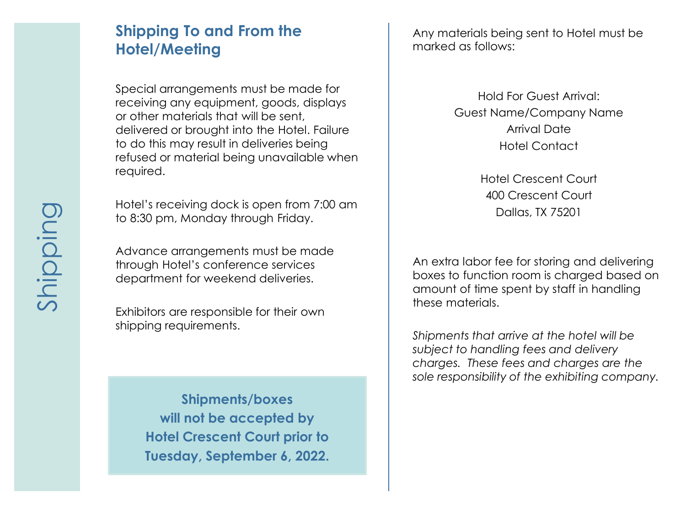### **Shipping To and From the Hotel/Meeting**

Special arrangements must be made for receiving any equipment, goods, displays or other materials that will be sent, delivered or brought into the Hotel. Failure to do this may result in deliveries being refused or material being unavailable when required.

Hotel's receiving dock is open from 7:00 am to 8:30 pm, Monday through Friday.

Advance arrangements must be made through Hotel's conference services department for weekend deliveries.

Exhibitors are responsible for their own shipping requirements.

> **Shipments/boxes will not be accepted by Hotel Crescent Court prior to Tuesday, September 6, 2022.**

Any materials being sent to Hotel must be marked as follows:

> Hold For Guest Arrival: Guest Name/Company Name Arrival Date Hotel Contact

> > Hotel Crescent Court 400 Crescent Court Dallas, TX 75201

An extra labor fee for storing and delivering boxes to function room is charged based on amount of time spent by staff in handling these materials.

*Shipments that arrive at the hotel will be subject to handling fees and delivery charges. These fees and charges are the sole responsibility of the exhibiting company.*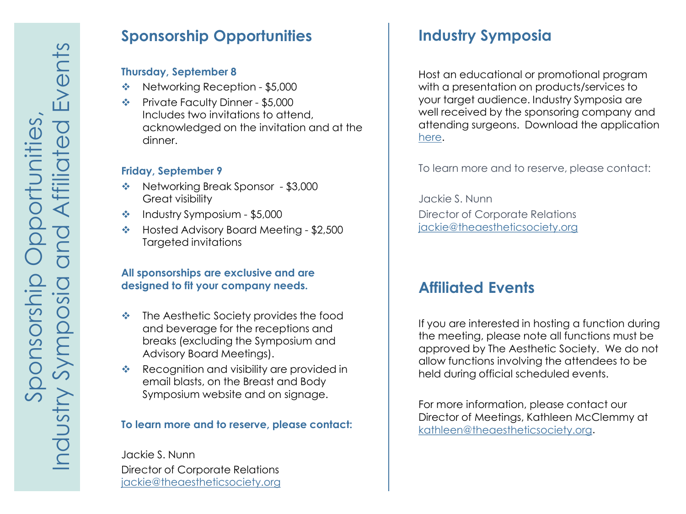### **Sponsorship Opportunities**

#### **Thursday, September 8**

- ◆ Networking Reception \$5,000
- Private Faculty Dinner \$5,000 Includes two invitations to attend, acknowledged on the invitation and at the dinner.

#### **Friday, September 9**

- ◆ Networking Break Sponsor \$3,000 Great visibility
- $\cdot$  Industry Symposium \$5,000
- ◆ Hosted Advisory Board Meeting \$2,500 Targeted invitations

#### **All sponsorships are exclusive and are designed to fit your company needs.**

- $\triangle$  The Aesthetic Society provides the food and beverage for the receptions and breaks (excluding the Symposium and Advisory Board Meetings).
- Recognition and visibility are provided in email blasts, on the Breast and Body Symposium website and on signage.

#### **To learn more and to reserve, please contact:**

Jackie S. Nunn Director of Corporate Relations [jackie@theaestheticsociety.org](mailto:jackie@surgery.org)

# **Industry Symposia**

Host an educational or promotional program with a presentation on products/services to your target audience. Industry Symposia are well received by the sponsoring company and attending surgeons. Download the application [here.](https://meetings.theaestheticsociety.org/breast-and-body/downloads/Application-Industry-Symposia-Breast-and-Body-Contouring-Symposium-2022.pdf)

To learn more and to reserve, please contact:

Jackie S. Nunn Director of Corporate Relations [jackie@theaestheticsociety.org](mailto:jackie@surgery.org)

### **Affiliated Events**

If you are interested in hosting a function during the meeting, please note all functions must be approved by The Aesthetic Society. We do not allow functions involving the attendees to be held during official scheduled events.

For more information, please contact our Director of Meetings, Kathleen McClemmy at [kathleen@theaestheticsociety.org.](mailto:kathleen@surgery.org)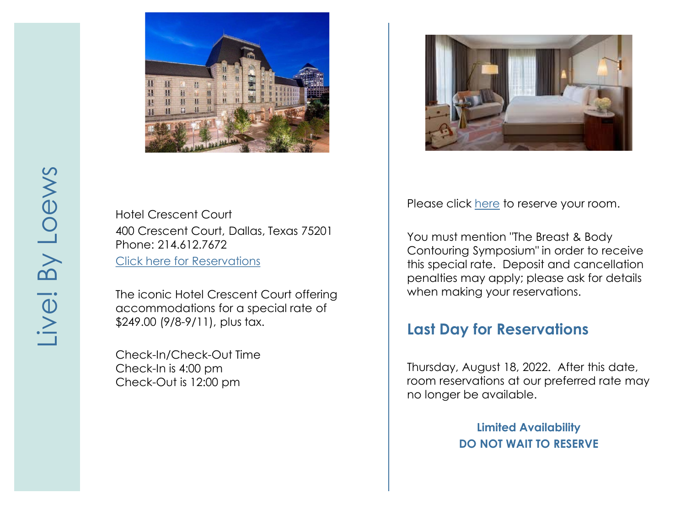

Hotel Crescent Court 400 Crescent Court, Dallas, Texas 75201 Phone: 214.612.7672 [Click here for Reservations](https://be.synxis.com/?adult=1&arrive=2022-09-08&chain=19918&child=0¤cy=USD&depart=2022-09-11&group=090822THEA&hotel=155&level=hotel&locale=en-US&rooms=1)

The iconic Hotel Crescent Court offering accommodations for a special rate of \$249.00 (9/8 -9/11), plus tax.

Check -In/Check -Out Time Check -In is 4:00 pm Check -Out is 12:00 pm



Please click [here](https://www.loewshotels.com/live-by-loews-arlington-texas/breast-body) to reserve your room.

You must mention "The Breast & Body Contouring Symposium" in order to receive this special rate. Deposit and cancellation penalties may apply; please ask for details when making your reservations.

### **Last Day for Reservations**

Thursday, August 18, 2022. After this date, room reservations at our preferred rate may no longer be available.

> **Limited Availability DO NOT WAIT TO RESERVE**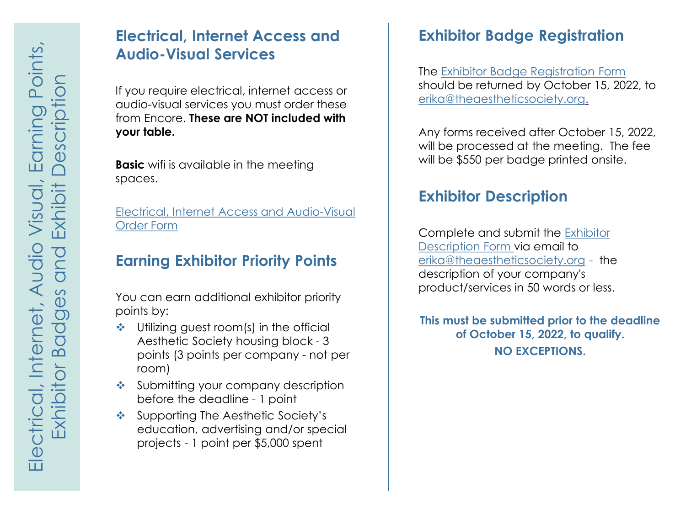## **Electrical, Internet Access and Audio-Visual Services**

If you require electrical, internet access or audio-visual services you must order these from Encore. **These are NOT included with your table.**

**Basic** wifi is available in the meeting spaces.

[Electrical, Internet Access and Audio-Visual](https://meetings.theaestheticsociety.org/breast-and-body/downloads/Hotel-Crescent-Court-Encore-Exhibit-Order-Form-2022-Aesthetic-Society.pdf) Order Form

## **Earning Exhibitor Priority Points**

You can earn additional exhibitor priority points by:

- Utilizing quest room(s) in the official Aesthetic Society housing block - 3 points (3 points per company - not per room)
- Submitting your company description before the deadline - 1 point
- ❖ Supporting The Aesthetic Society's education, advertising and/or special projects - 1 point per \$5,000 spent

# **Exhibitor Badge Registration**

The [Exhibitor Badge Registration Form](https://meetings.theaestheticsociety.org/breast-and-body/downloads/Badge-Registration-Breast-and-Body-Contouring-Symposium-2022.pdf)  should be returned by October 15, 2022, to [erika@theaestheticsociety.org](mailto:erika@surgery.org).

Any forms received after October 15, 2022, will be processed at the meeting. The fee will be \$550 per badge printed onsite.

# **Exhibitor Description**

[Complete and submit the Exhibitor](https://meetings.theaestheticsociety.org/breast-and-body/downloads/Exhibitor-Description-Breast-and-Body-Contouring-Symposium-2022.pdf)  Description Form via email to [erika@theaestheticsociety.org](mailto:erika@surgery.org) - the description of your company's product/services in 50 words or less.

**This must be submitted prior to the deadline of October 15, 2022, to qualify. NO EXCEPTIONS.**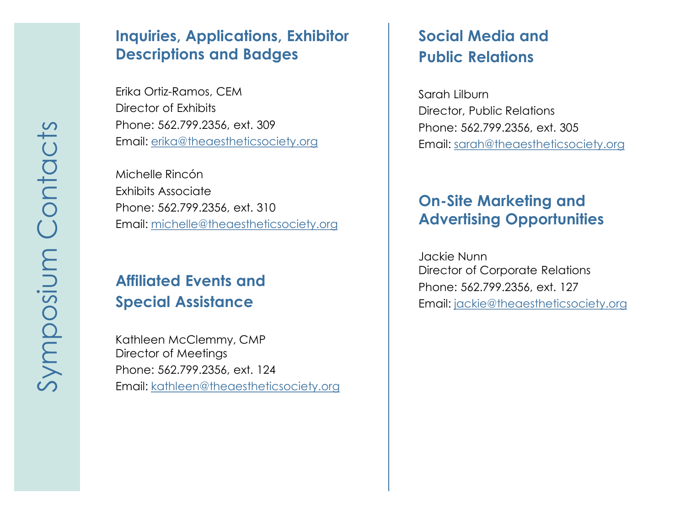### **Inquiries, Applications, Exhibitor Descriptions and Badges**

Erika Ortiz -Ramos, CEM Director of Exhibits Phone: 562.799.2356, ext. 309 Email: [erika@theaestheticsociety.org](mailto:erika@surgery.org)

Michelle Rincón Exhibits Associate Phone: 562.799.2356, ext. 310 Email: [michelle@theaestheticsociety.org](mailto:michelle@surgery.org)

# **Affiliated Events and Special Assistance**

Kathleen McClemmy, CMP Director of Meetings Phone: 562.799.2356, ext. 124 Email: [kathleen@theaestheticsociety.org](mailto:kathleen@surgery.org)

# **Social Media and Public Relations**

Sarah Lilburn Director, Public Relations Phone: 562.799.2356, ext. 305 Email: [sarah@theaestheticsociety.org](mailto:sarah@surgery.org)

# **On -Site Marketing and Advertising Opportunities**

Jackie Nunn Director of Corporate Relations Phone: 562.799.2356, ext. 127 Email: [jackie@theaestheticsociety.org](mailto:jackie@surgery.org)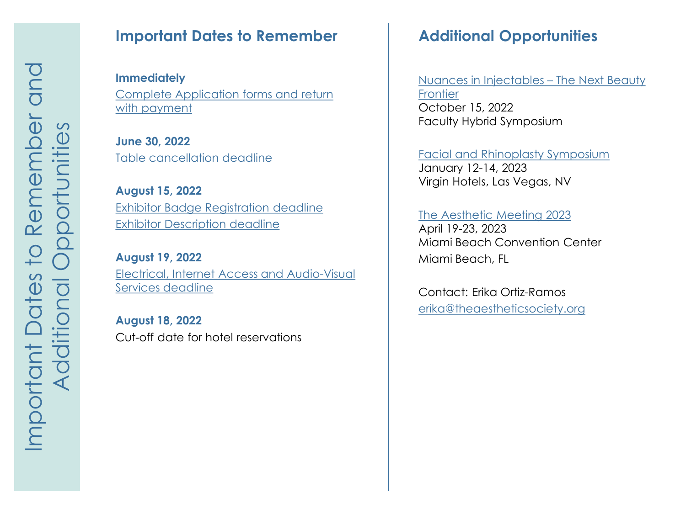### **Important Dates to Remember**

**Immediately** [Complete Application forms and return](https://meetings.theaestheticsociety.org/breast-and-body/downloads/Application-Breast-and-Body-Contouring-Symposium-2022.pdf)  with payment

**June 30, 2022** Table cancellation deadline

**August 15, 2022** [Exhibitor Badge Registration deadline](https://meetings.theaestheticsociety.org/breast-and-body/downloads/Badge-Registration-Breast-and-Body-Contouring-Symposium-2022.pdf) [Exhibitor Description deadline](https://meetings.theaestheticsociety.org/breast-and-body/downloads/Exhibitor-Description-Breast-and-Body-Contouring-Symposium-2022.pdf)

**August 19, 2022** [Electrical, Internet Access and Audio-Visual](https://meetings.theaestheticsociety.org/breast-and-body/downloads/Hotel-Crescent-Court-Encore-Exhibit-Order-Form-2022-Aesthetic-Society.pdf) Services deadline

**August 18, 2022** Cut-off date for hotel reservations

# **Additional Opportunities**

[Nuances in Injectables –](https://meetings.theaestheticsociety.org/) The Next Beauty **Frontier** October 15, 2022 Faculty Hybrid Symposium

[Facial and Rhinoplasty Symposium](https://meetings.theaestheticsociety.org/) January 12-14, 2023 Virgin Hotels, Las Vegas, NV

#### [The Aesthetic Meeting 2023](https://meetings.theaestheticsociety.org/)

April 19-23, 2023 Miami Beach Convention Center Miami Beach, FL

Contact: Erika Ortiz-Ramos [erika@theaestheticsociety.org](mailto:erika@theaestheticsociety.org)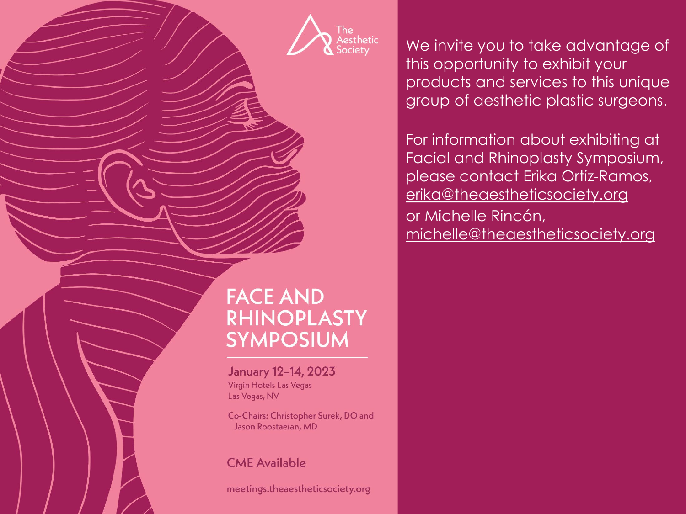The ....<br>Aesthetic ociety

We invite you to take advantage of this opportunity to exhibit your products and services to this unique group of aesthetic plastic surgeons.

For information about exhibiting at Facial and Rhinoplasty Symposium, please contact Erika Ortiz-Ramos, [erika@theaestheticsociety.org](mailto:erika@surgery.org) or Michelle Rincón, [michelle@theaestheticsociety.org](mailto:michelle@surgery.org)

# **FACE AND RHINOPLASTY SYMPOSIUM**

January 12-14, 2023 Virgin Hotels Las Vegas Las Vegas, NV

Co-Chairs: Christopher Surek, DO and Jason Roostaeian, MD

### **CME Available**

meetings.theaestheticsociety.org